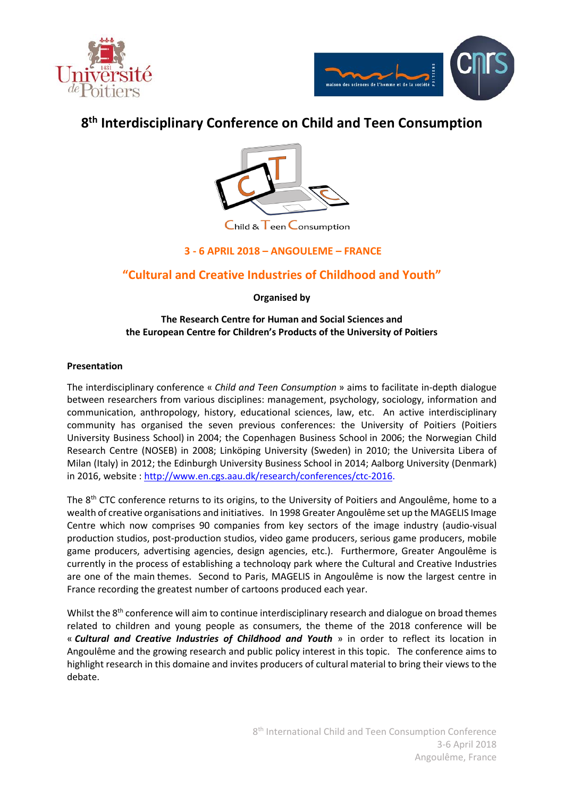



# **8th Interdisciplinary Conference on Child and Teen Consumption**



Child & Teen Consumption

### **3 - 6 APRIL 2018 – ANGOULEME – FRANCE**

## **"Cultural and Creative Industries of Childhood and Youth"**

**Organised by**

#### **The Research Centre for Human and Social Sciences and the European Centre for Children's Products of the University of Poitiers**

#### **Presentation**

The interdisciplinary conference « *Child and Teen Consumption* » aims to facilitate in-depth dialogue between researchers from various disciplines: management, psychology, sociology, information and communication, anthropology, history, educational sciences, law, etc. An active interdisciplinary community has organised the seven previous conferences: the University of Poitiers (Poitiers University Business School) in 2004; the Copenhagen Business School in 2006; the Norwegian Child Research Centre (NOSEB) in 2008; Linköping University (Sweden) in 2010; the Universita Libera of Milan (Italy) in 2012; the Edinburgh University Business School in 2014; Aalborg University (Denmark) in 2016, website : [http://www.en.cgs.aau.dk/research/conferences/ctc-2016.](http://www.en.cgs.aau.dk/research/conferences/ctc-2016)

The 8<sup>th</sup> CTC conference returns to its origins, to the University of Poitiers and Angoulême, home to a wealth of creative organisations and initiatives. In 1998 Greater Angoulême set up the MAGELIS Image Centre which now comprises 90 companies from key sectors of the image industry (audio-visual production studios, post-production studios, video game producers, serious game producers, mobile game producers, advertising agencies, design agencies, etc.). Furthermore, Greater Angoulême is currently in the process of establishing a technoloqy park where the Cultural and Creative Industries are one of the main themes. Second to Paris, MAGELIS in Angoulême is now the largest centre in France recording the greatest number of cartoons produced each year.

Whilst the 8<sup>th</sup> conference will aim to continue interdisciplinary research and dialogue on broad themes related to children and young people as consumers, the theme of the 2018 conference will be « *Cultural and Creative Industries of Childhood and Youth* » in order to reflect its location in Angoulême and the growing research and public policy interest in this topic. The conference aims to highlight research in this domaine and invites producers of cultural material to bring their views to the debate.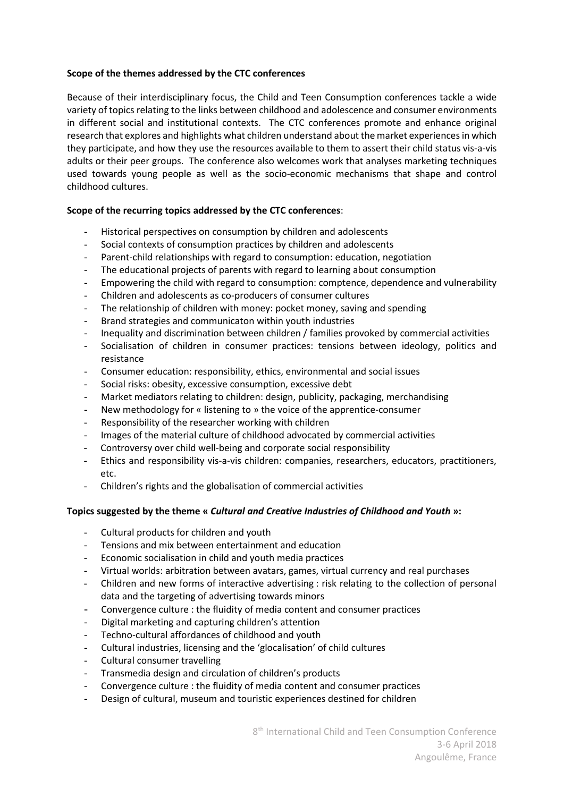#### **Scope of the themes addressed by the CTC conferences**

Because of their interdisciplinary focus, the Child and Teen Consumption conferences tackle a wide variety of topics relating to the links between childhood and adolescence and consumer environments in different social and institutional contexts. The CTC conferences promote and enhance original research that explores and highlights what children understand about the market experiences in which they participate, and how they use the resources available to them to assert their child status vis-a-vis adults or their peer groups. The conference also welcomes work that analyses marketing techniques used towards young people as well as the socio-economic mechanisms that shape and control childhood cultures.

#### **Scope of the recurring topics addressed by the CTC conferences**:

- Historical perspectives on consumption by children and adolescents
- Social contexts of consumption practices by children and adolescents
- Parent-child relationships with regard to consumption: education, negotiation
- The educational projects of parents with regard to learning about consumption
- Empowering the child with regard to consumption: comptence, dependence and vulnerability
- Children and adolescents as co-producers of consumer cultures
- The relationship of children with money: pocket money, saving and spending
- Brand strategies and communicaton within youth industries
- Inequality and discrimination between children / families provoked by commercial activities
- Socialisation of children in consumer practices: tensions between ideology, politics and resistance
- Consumer education: responsibility, ethics, environmental and social issues
- Social risks: obesity, excessive consumption, excessive debt
- Market mediators relating to children: design, publicity, packaging, merchandising
- New methodology for « listening to » the voice of the apprentice-consumer
- Responsibility of the researcher working with children
- Images of the material culture of childhood advocated by commercial activities
- Controversy over child well-being and corporate social responsibility
- Ethics and responsibility vis-a-vis children: companies, researchers, educators, practitioners, etc.
- Children's rights and the globalisation of commercial activities

#### **Topics suggested by the theme «** *Cultural and Creative Industries of Childhood and Youth* **»:**

- Cultural products for children and youth
- Tensions and mix between entertainment and education
- Economic socialisation in child and youth media practices
- Virtual worlds: arbitration between avatars, games, virtual currency and real purchases
- Children and new forms of interactive advertising : risk relating to the collection of personal data and the targeting of advertising towards minors
- Convergence culture : the fluidity of media content and consumer practices
- Digital marketing and capturing children's attention
- Techno-cultural affordances of childhood and youth
- Cultural industries, licensing and the 'glocalisation' of child cultures
- Cultural consumer travelling
- Transmedia design and circulation of children's products
- Convergence culture : the fluidity of media content and consumer practices
- Design of cultural, museum and touristic experiences destined for children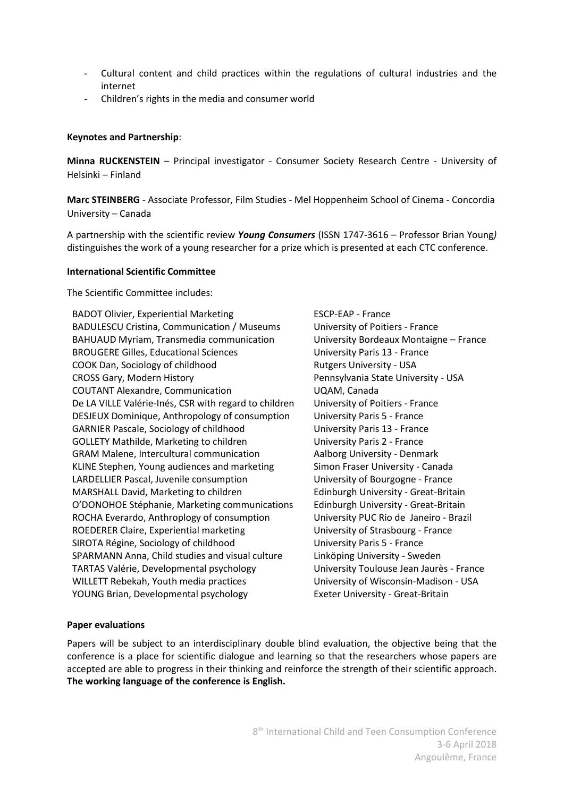- Cultural content and child practices within the regulations of cultural industries and the internet
- Children's rights in the media and consumer world

#### **Keynotes and Partnership**:

**Minna RUCKENSTEIN** – Principal investigator - Consumer Society Research Centre - University of Helsinki – Finland

**Marc STEINBERG** - Associate Professor, Film Studies - Mel Hoppenheim School of Cinema - Concordia University – Canada

A partnership with the scientific review *Young Consumers* (ISSN 1747-3616 – Professor Brian Young*)*  distinguishes the work of a young researcher for a prize which is presented at each CTC conference.

#### **International Scientific Committee**

The Scientific Committee includes:

BADOT Olivier, Experiential Marketing ESCP-EAP - France BADULESCU Cristina, Communication / Museums University of Poitiers - France BAHUAUD Myriam, Transmedia communication University Bordeaux Montaigne – France BROUGERE Gilles, Educational Sciences University Paris 13 - France COOK Dan, Sociology of childhood Rutgers University - USA CROSS Gary, Modern History **Pennsylvania State University - USA** COUTANT Alexandre, Communication UQAM, Canada De LA VILLE Valérie-Inés, CSR with regard to children University of Poitiers - France DESJEUX Dominique, Anthropology of consumption University Paris 5 - France GARNIER Pascale, Sociology of childhood University Paris 13 - France GOLLETY Mathilde, Marketing to children University Paris 2 - France GRAM Malene, Intercultural communication Aalborg University - Denmark KLINE Stephen, Young audiences and marketing Simon Fraser University - Canada LARDELLIER Pascal, Juvenile consumption University of Bourgogne - France MARSHALL David, Marketing to children Edinburgh University - Great-Britain O'DONOHOE Stéphanie, Marketing communications Edinburgh University - Great-Britain ROCHA Everardo, Anthroplogy of consumption University PUC Rio de Janeiro - Brazil ROEDERER Claire, Experiential marketing University of Strasbourg - France SIROTA Régine, Sociology of childhood University Paris 5 - France SPARMANN Anna, Child studies and visual culture Linköping University - Sweden TARTAS Valérie, Developmental psychology University Toulouse Jean Jaurès - France WILLETT Rebekah, Youth media practices University of Wisconsin-Madison - USA YOUNG Brian, Developmental psychology **Exeter University - Great-Britain** 

#### **Paper evaluations**

Papers will be subject to an interdisciplinary double blind evaluation, the objective being that the conference is a place for scientific dialogue and learning so that the researchers whose papers are accepted are able to progress in their thinking and reinforce the strength of their scientific approach. **The working language of the conference is English.**